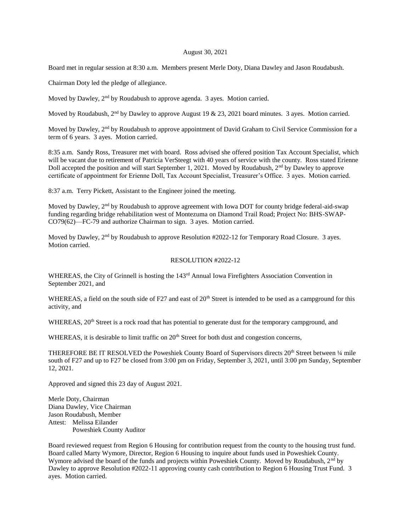## August 30, 2021

Board met in regular session at 8:30 a.m. Members present Merle Doty, Diana Dawley and Jason Roudabush.

Chairman Doty led the pledge of allegiance.

Moved by Dawley, 2<sup>nd</sup> by Roudabush to approve agenda. 3 ayes. Motion carried.

Moved by Roudabush,  $2<sup>nd</sup>$  by Dawley to approve August 19 & 23, 2021 board minutes. 3 ayes. Motion carried.

Moved by Dawley, 2<sup>nd</sup> by Roudabush to approve appointment of David Graham to Civil Service Commission for a term of 6 years. 3 ayes. Motion carried.

8:35 a.m. Sandy Ross, Treasurer met with board. Ross advised she offered position Tax Account Specialist, which will be vacant due to retirement of Patricia VerSteegt with 40 years of service with the county. Ross stated Erienne Doll accepted the position and will start September 1, 2021. Moved by Roudabush, 2nd by Dawley to approve certificate of appointment for Erienne Doll, Tax Account Specialist, Treasurer's Office. 3 ayes. Motion carried.

8:37 a.m. Terry Pickett, Assistant to the Engineer joined the meeting.

Moved by Dawley, 2<sup>nd</sup> by Roudabush to approve agreement with Iowa DOT for county bridge federal-aid-swap funding regarding bridge rehabilitation west of Montezuma on Diamond Trail Road; Project No: BHS-SWAP-CO79(62)—FC-79 and authorize Chairman to sign. 3 ayes. Motion carried.

Moved by Dawley,  $2<sup>nd</sup>$  by Roudabush to approve Resolution #2022-12 for Temporary Road Closure. 3 ayes. Motion carried.

## RESOLUTION #2022-12

WHEREAS, the City of Grinnell is hosting the 143<sup>rd</sup> Annual Iowa Firefighters Association Convention in September 2021, and

WHEREAS, a field on the south side of F27 and east of 20<sup>th</sup> Street is intended to be used as a campground for this activity, and

WHEREAS, 20<sup>th</sup> Street is a rock road that has potential to generate dust for the temporary campground, and

WHEREAS, it is desirable to limit traffic on  $20<sup>th</sup>$  Street for both dust and congestion concerns,

THEREFORE BE IT RESOLVED the Poweshiek County Board of Supervisors directs 20<sup>th</sup> Street between 1/4 mile south of F27 and up to F27 be closed from 3:00 pm on Friday, September 3, 2021, until 3:00 pm Sunday, September 12, 2021.

Approved and signed this 23 day of August 2021.

Merle Doty, Chairman Diana Dawley, Vice Chairman Jason Roudabush, Member Attest: Melissa Eilander Poweshiek County Auditor

Board reviewed request from Region 6 Housing for contribution request from the county to the housing trust fund. Board called Marty Wymore, Director, Region 6 Housing to inquire about funds used in Poweshiek County. Wymore advised the board of the funds and projects within Poweshiek County. Moved by Roudabush, 2<sup>nd</sup> by Dawley to approve Resolution #2022-11 approving county cash contribution to Region 6 Housing Trust Fund. 3 ayes. Motion carried.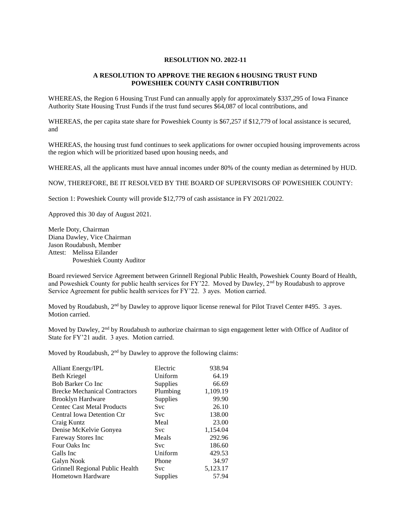## **RESOLUTION NO. 2022-11**

## **A RESOLUTION TO APPROVE THE REGION 6 HOUSING TRUST FUND POWESHIEK COUNTY CASH CONTRIBUTION**

WHEREAS, the Region 6 Housing Trust Fund can annually apply for approximately \$337,295 of Iowa Finance Authority State Housing Trust Funds if the trust fund secures \$64,087 of local contributions, and

WHEREAS, the per capita state share for Poweshiek County is \$67,257 if \$12,779 of local assistance is secured, and

WHEREAS, the housing trust fund continues to seek applications for owner occupied housing improvements across the region which will be prioritized based upon housing needs, and

WHEREAS, all the applicants must have annual incomes under 80% of the county median as determined by HUD.

NOW, THEREFORE, BE IT RESOLVED BY THE BOARD OF SUPERVISORS OF POWESHIEK COUNTY:

Section 1: Poweshiek County will provide \$12,779 of cash assistance in FY 2021/2022.

Approved this 30 day of August 2021.

Merle Doty, Chairman Diana Dawley, Vice Chairman Jason Roudabush, Member Attest: Melissa Eilander Poweshiek County Auditor

Board reviewed Service Agreement between Grinnell Regional Public Health, Poweshiek County Board of Health, and Poweshiek County for public health services for FY'22. Moved by Dawley, 2<sup>nd</sup> by Roudabush to approve Service Agreement for public health services for FY'22. 3 ayes. Motion carried.

Moved by Roudabush, 2<sup>nd</sup> by Dawley to approve liquor license renewal for Pilot Travel Center #495. 3 ayes. Motion carried.

Moved by Dawley,  $2<sup>nd</sup>$  by Roudabush to authorize chairman to sign engagement letter with Office of Auditor of State for FY'21 audit. 3 ayes. Motion carried.

Moved by Roudabush, 2<sup>nd</sup> by Dawley to approve the following claims:

| <b>Alliant Energy/IPL</b>            | Electric   | 938.94   |
|--------------------------------------|------------|----------|
| Beth Kriegel                         | Uniform    | 64.19    |
| <b>Bob Barker Co Inc.</b>            | Supplies   | 66.69    |
| <b>Brecke Mechanical Contractors</b> | Plumbing   | 1,109.19 |
| <b>Brooklyn Hardware</b>             | Supplies   | 99.90    |
| <b>Centec Cast Metal Products</b>    | <b>Svc</b> | 26.10    |
| Central Iowa Detention Ctr           | <b>Svc</b> | 138.00   |
| Craig Kuntz                          | Meal       | 23.00    |
| Denise McKelvie Gonyea               | <b>Svc</b> | 1,154.04 |
| Fareway Stores Inc                   | Meals      | 292.96   |
| Four Oaks Inc                        | <b>Svc</b> | 186.60   |
| Galls Inc                            | Uniform    | 429.53   |
| Galyn Nook                           | Phone      | 34.97    |
| Grinnell Regional Public Health      | Svc        | 5,123.17 |
| Hometown Hardware                    | Supplies   | 57.94    |